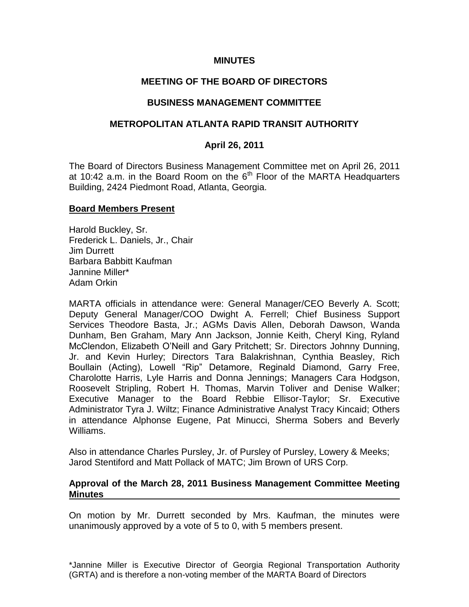### **MINUTES**

## **MEETING OF THE BOARD OF DIRECTORS**

#### **BUSINESS MANAGEMENT COMMITTEE**

### **METROPOLITAN ATLANTA RAPID TRANSIT AUTHORITY**

### **April 26, 2011**

The Board of Directors Business Management Committee met on April 26, 2011 at 10:42 a.m. in the Board Room on the  $6<sup>th</sup>$  Floor of the MARTA Headquarters Building, 2424 Piedmont Road, Atlanta, Georgia.

#### **Board Members Present**

Harold Buckley, Sr. Frederick L. Daniels, Jr., Chair Jim Durrett Barbara Babbitt Kaufman Jannine Miller\* Adam Orkin

MARTA officials in attendance were: General Manager/CEO Beverly A. Scott; Deputy General Manager/COO Dwight A. Ferrell; Chief Business Support Services Theodore Basta, Jr.; AGMs Davis Allen, Deborah Dawson, Wanda Dunham, Ben Graham, Mary Ann Jackson, Jonnie Keith, Cheryl King, Ryland McClendon, Elizabeth O'Neill and Gary Pritchett; Sr. Directors Johnny Dunning, Jr. and Kevin Hurley; Directors Tara Balakrishnan, Cynthia Beasley, Rich Boullain (Acting), Lowell "Rip" Detamore, Reginald Diamond, Garry Free, Charolotte Harris, Lyle Harris and Donna Jennings; Managers Cara Hodgson, Roosevelt Stripling, Robert H. Thomas, Marvin Toliver and Denise Walker; Executive Manager to the Board Rebbie Ellisor-Taylor; Sr. Executive Administrator Tyra J. Wiltz; Finance Administrative Analyst Tracy Kincaid; Others in attendance Alphonse Eugene, Pat Minucci, Sherma Sobers and Beverly Williams.

Also in attendance Charles Pursley, Jr. of Pursley of Pursley, Lowery & Meeks; Jarod Stentiford and Matt Pollack of MATC; Jim Brown of URS Corp.

#### **Approval of the March 28, 2011 Business Management Committee Meeting Minutes**

On motion by Mr. Durrett seconded by Mrs. Kaufman, the minutes were unanimously approved by a vote of 5 to 0, with 5 members present.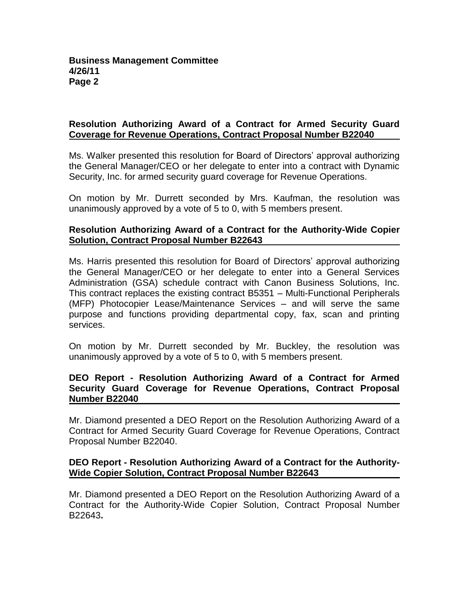## **Resolution Authorizing Award of a Contract for Armed Security Guard Coverage for Revenue Operations, Contract Proposal Number B22040**

Ms. Walker presented this resolution for Board of Directors' approval authorizing the General Manager/CEO or her delegate to enter into a contract with Dynamic Security, Inc. for armed security guard coverage for Revenue Operations.

On motion by Mr. Durrett seconded by Mrs. Kaufman, the resolution was unanimously approved by a vote of 5 to 0, with 5 members present.

### **Resolution Authorizing Award of a Contract for the Authority-Wide Copier Solution, Contract Proposal Number B22643**

Ms. Harris presented this resolution for Board of Directors' approval authorizing the General Manager/CEO or her delegate to enter into a General Services Administration (GSA) schedule contract with Canon Business Solutions, Inc. This contract replaces the existing contract B5351 – Multi-Functional Peripherals (MFP) Photocopier Lease/Maintenance Services – and will serve the same purpose and functions providing departmental copy, fax, scan and printing services.

On motion by Mr. Durrett seconded by Mr. Buckley, the resolution was unanimously approved by a vote of 5 to 0, with 5 members present.

## **DEO Report - Resolution Authorizing Award of a Contract for Armed Security Guard Coverage for Revenue Operations, Contract Proposal Number B22040**

Mr. Diamond presented a DEO Report on the Resolution Authorizing Award of a Contract for Armed Security Guard Coverage for Revenue Operations, Contract Proposal Number B22040.

#### **DEO Report - Resolution Authorizing Award of a Contract for the Authority-Wide Copier Solution, Contract Proposal Number B22643**

Mr. Diamond presented a DEO Report on the Resolution Authorizing Award of a Contract for the Authority-Wide Copier Solution, Contract Proposal Number B22643**.**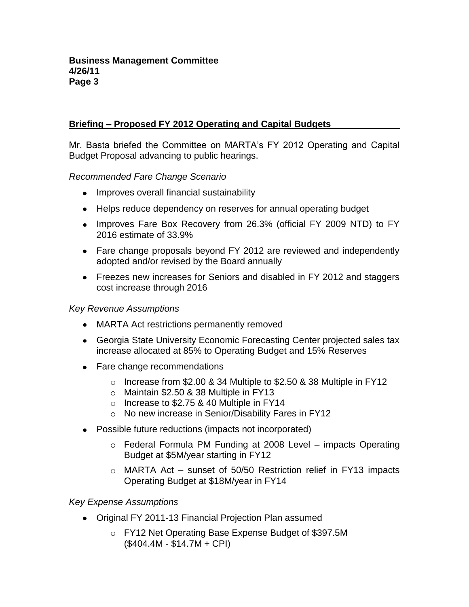# **Briefing – Proposed FY 2012 Operating and Capital Budgets**

Mr. Basta briefed the Committee on MARTA's FY 2012 Operating and Capital Budget Proposal advancing to public hearings.

*Recommended Fare Change Scenario*

- Improves overall financial sustainability
- Helps reduce dependency on reserves for annual operating budget
- Improves Fare Box Recovery from 26.3% (official FY 2009 NTD) to FY 2016 estimate of 33.9%
- Fare change proposals beyond FY 2012 are reviewed and independently adopted and/or revised by the Board annually
- Freezes new increases for Seniors and disabled in FY 2012 and staggers cost increase through 2016

### *Key Revenue Assumptions*

- MARTA Act restrictions permanently removed
- Georgia State University Economic Forecasting Center projected sales tax increase allocated at 85% to Operating Budget and 15% Reserves
- Fare change recommendations
	- o Increase from \$2.00 & 34 Multiple to \$2.50 & 38 Multiple in FY12
	- o Maintain \$2.50 & 38 Multiple in FY13
	- o Increase to \$2.75 & 40 Multiple in FY14
	- o No new increase in Senior/Disability Fares in FY12
- Possible future reductions (impacts not incorporated)
	- $\circ$  Federal Formula PM Funding at 2008 Level impacts Operating Budget at \$5M/year starting in FY12
	- o MARTA Act sunset of 50/50 Restriction relief in FY13 impacts Operating Budget at \$18M/year in FY14

## *Key Expense Assumptions*

- Original FY 2011-13 Financial Projection Plan assumed
	- o FY12 Net Operating Base Expense Budget of \$397.5M (\$404.4M - \$14.7M + CPI)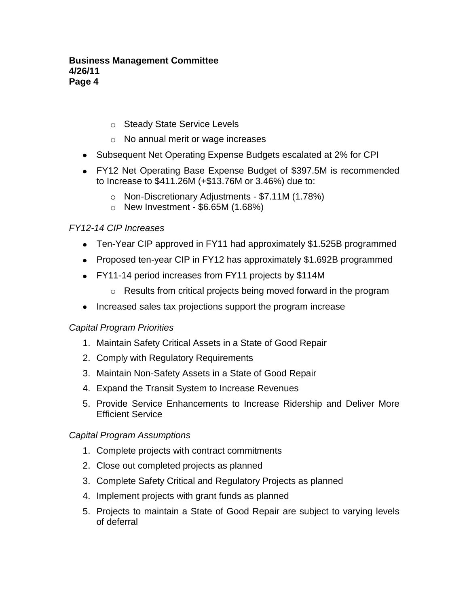### **Business Management Committee 4/26/11 Page 4**

- o Steady State Service Levels
- o No annual merit or wage increases
- Subsequent Net Operating Expense Budgets escalated at 2% for CPI
- FY12 Net Operating Base Expense Budget of \$397.5M is recommended to Increase to \$411.26M (+\$13.76M or 3.46%) due to:
	- o Non-Discretionary Adjustments \$7.11M (1.78%)
	- $\circ$  New Investment \$6.65M (1.68%)

# *FY12-14 CIP Increases*

- Ten-Year CIP approved in FY11 had approximately \$1.525B programmed
- Proposed ten-year CIP in FY12 has approximately \$1.692B programmed
- FY11-14 period increases from FY11 projects by \$114M
	- o Results from critical projects being moved forward in the program
- Increased sales tax projections support the program increase

## *Capital Program Priorities*

- 1. Maintain Safety Critical Assets in a State of Good Repair
- 2. Comply with Regulatory Requirements
- 3. Maintain Non-Safety Assets in a State of Good Repair
- 4. Expand the Transit System to Increase Revenues
- 5. Provide Service Enhancements to Increase Ridership and Deliver More Efficient Service

## *Capital Program Assumptions*

- 1. Complete projects with contract commitments
- 2. Close out completed projects as planned
- 3. Complete Safety Critical and Regulatory Projects as planned
- 4. Implement projects with grant funds as planned
- 5. Projects to maintain a State of Good Repair are subject to varying levels of deferral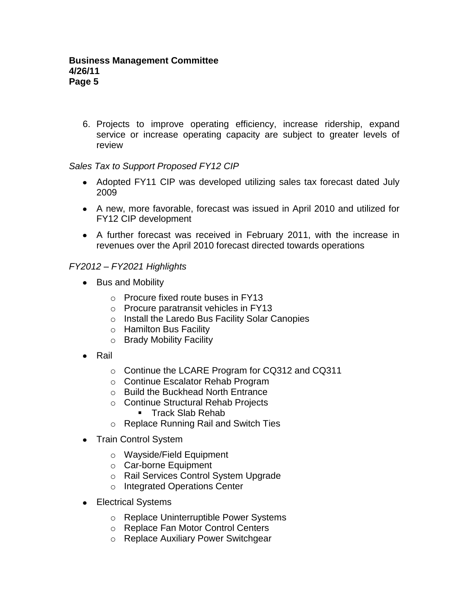6. Projects to improve operating efficiency, increase ridership, expand service or increase operating capacity are subject to greater levels of review

# *Sales Tax to Support Proposed FY12 CIP*

- Adopted FY11 CIP was developed utilizing sales tax forecast dated July 2009
- A new, more favorable, forecast was issued in April 2010 and utilized for FY12 CIP development
- A further forecast was received in February 2011, with the increase in revenues over the April 2010 forecast directed towards operations

# *FY2012 – FY2021 Highlights*

- Bus and Mobility
	- o Procure fixed route buses in FY13
	- o Procure paratransit vehicles in FY13
	- o Install the Laredo Bus Facility Solar Canopies
	- o Hamilton Bus Facility
	- o Brady Mobility Facility
- Rail
	- o Continue the LCARE Program for CQ312 and CQ311
	- o Continue Escalator Rehab Program
	- o Build the Buckhead North Entrance
	- o Continue Structural Rehab Projects
		- **Track Slab Rehab**
	- o Replace Running Rail and Switch Ties
- Train Control System
	- o Wayside/Field Equipment
	- o Car-borne Equipment
	- o Rail Services Control System Upgrade
	- o Integrated Operations Center
- Electrical Systems
	- o Replace Uninterruptible Power Systems
	- o Replace Fan Motor Control Centers
	- o Replace Auxiliary Power Switchgear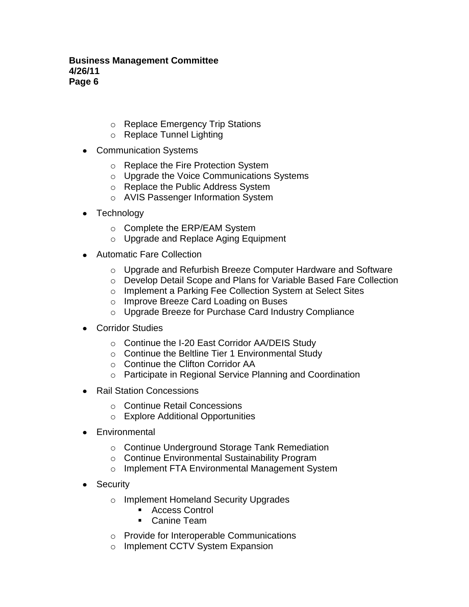#### **Business Management Committee 4/26/11 Page 6**

- o Replace Emergency Trip Stations
- o Replace Tunnel Lighting
- Communication Systems
	- o Replace the Fire Protection System
	- o Upgrade the Voice Communications Systems
	- o Replace the Public Address System
	- o AVIS Passenger Information System
- Technology
	- o Complete the ERP/EAM System
	- o Upgrade and Replace Aging Equipment
- Automatic Fare Collection
	- o Upgrade and Refurbish Breeze Computer Hardware and Software
	- o Develop Detail Scope and Plans for Variable Based Fare Collection
	- o Implement a Parking Fee Collection System at Select Sites
	- o Improve Breeze Card Loading on Buses
	- o Upgrade Breeze for Purchase Card Industry Compliance
- Corridor Studies
	- o Continue the I-20 East Corridor AA/DEIS Study
	- o Continue the Beltline Tier 1 Environmental Study
	- o Continue the Clifton Corridor AA
	- o Participate in Regional Service Planning and Coordination
- Rail Station Concessions
	- o Continue Retail Concessions
	- o Explore Additional Opportunities
- Environmental
	- o Continue Underground Storage Tank Remediation
	- o Continue Environmental Sustainability Program
	- o Implement FTA Environmental Management System
- Security
	- o Implement Homeland Security Upgrades
		- Access Control
		- Canine Team
	- o Provide for Interoperable Communications
	- o Implement CCTV System Expansion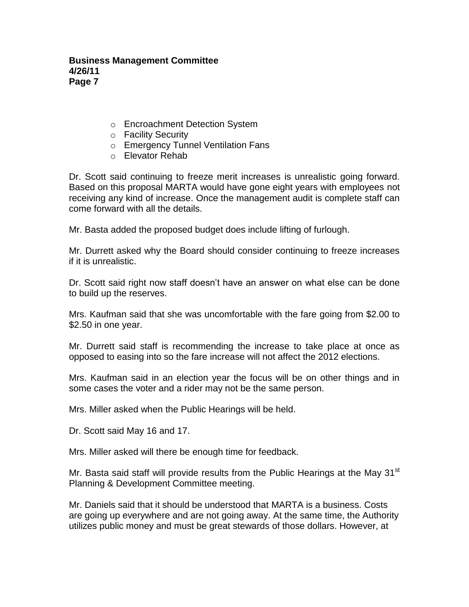- o Encroachment Detection System
- o Facility Security
- o Emergency Tunnel Ventilation Fans
- o Elevator Rehab

Dr. Scott said continuing to freeze merit increases is unrealistic going forward. Based on this proposal MARTA would have gone eight years with employees not receiving any kind of increase. Once the management audit is complete staff can come forward with all the details.

Mr. Basta added the proposed budget does include lifting of furlough.

Mr. Durrett asked why the Board should consider continuing to freeze increases if it is unrealistic.

Dr. Scott said right now staff doesn't have an answer on what else can be done to build up the reserves.

Mrs. Kaufman said that she was uncomfortable with the fare going from \$2.00 to \$2.50 in one year.

Mr. Durrett said staff is recommending the increase to take place at once as opposed to easing into so the fare increase will not affect the 2012 elections.

Mrs. Kaufman said in an election year the focus will be on other things and in some cases the voter and a rider may not be the same person.

Mrs. Miller asked when the Public Hearings will be held.

Dr. Scott said May 16 and 17.

Mrs. Miller asked will there be enough time for feedback.

Mr. Basta said staff will provide results from the Public Hearings at the May 31<sup>st</sup> Planning & Development Committee meeting.

Mr. Daniels said that it should be understood that MARTA is a business. Costs are going up everywhere and are not going away. At the same time, the Authority utilizes public money and must be great stewards of those dollars. However, at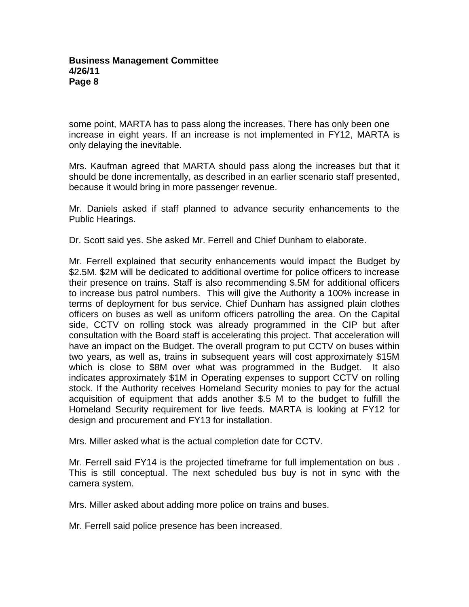some point, MARTA has to pass along the increases. There has only been one increase in eight years. If an increase is not implemented in FY12, MARTA is only delaying the inevitable.

Mrs. Kaufman agreed that MARTA should pass along the increases but that it should be done incrementally, as described in an earlier scenario staff presented, because it would bring in more passenger revenue.

Mr. Daniels asked if staff planned to advance security enhancements to the Public Hearings.

Dr. Scott said yes. She asked Mr. Ferrell and Chief Dunham to elaborate.

Mr. Ferrell explained that security enhancements would impact the Budget by \$2.5M. \$2M will be dedicated to additional overtime for police officers to increase their presence on trains. Staff is also recommending \$.5M for additional officers to increase bus patrol numbers. This will give the Authority a 100% increase in terms of deployment for bus service. Chief Dunham has assigned plain clothes officers on buses as well as uniform officers patrolling the area. On the Capital side, CCTV on rolling stock was already programmed in the CIP but after consultation with the Board staff is accelerating this project. That acceleration will have an impact on the Budget. The overall program to put CCTV on buses within two years, as well as, trains in subsequent years will cost approximately \$15M which is close to \$8M over what was programmed in the Budget. It also indicates approximately \$1M in Operating expenses to support CCTV on rolling stock. If the Authority receives Homeland Security monies to pay for the actual acquisition of equipment that adds another \$.5 M to the budget to fulfill the Homeland Security requirement for live feeds. MARTA is looking at FY12 for design and procurement and FY13 for installation.

Mrs. Miller asked what is the actual completion date for CCTV.

Mr. Ferrell said FY14 is the projected timeframe for full implementation on bus . This is still conceptual. The next scheduled bus buy is not in sync with the camera system.

Mrs. Miller asked about adding more police on trains and buses.

Mr. Ferrell said police presence has been increased.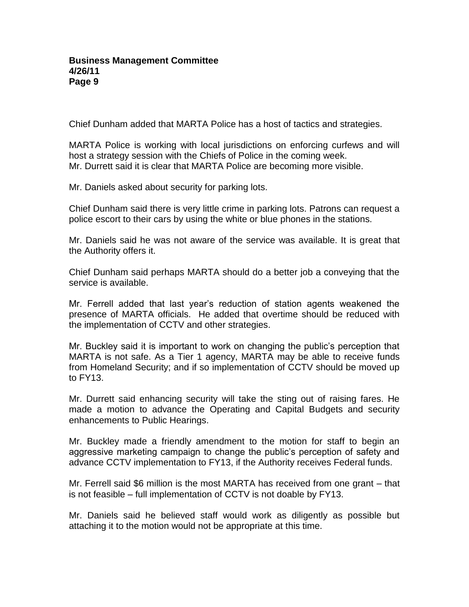Chief Dunham added that MARTA Police has a host of tactics and strategies.

MARTA Police is working with local jurisdictions on enforcing curfews and will host a strategy session with the Chiefs of Police in the coming week. Mr. Durrett said it is clear that MARTA Police are becoming more visible.

Mr. Daniels asked about security for parking lots.

Chief Dunham said there is very little crime in parking lots. Patrons can request a police escort to their cars by using the white or blue phones in the stations.

Mr. Daniels said he was not aware of the service was available. It is great that the Authority offers it.

Chief Dunham said perhaps MARTA should do a better job a conveying that the service is available.

Mr. Ferrell added that last year's reduction of station agents weakened the presence of MARTA officials. He added that overtime should be reduced with the implementation of CCTV and other strategies.

Mr. Buckley said it is important to work on changing the public's perception that MARTA is not safe. As a Tier 1 agency, MARTA may be able to receive funds from Homeland Security; and if so implementation of CCTV should be moved up to FY13.

Mr. Durrett said enhancing security will take the sting out of raising fares. He made a motion to advance the Operating and Capital Budgets and security enhancements to Public Hearings.

Mr. Buckley made a friendly amendment to the motion for staff to begin an aggressive marketing campaign to change the public's perception of safety and advance CCTV implementation to FY13, if the Authority receives Federal funds.

Mr. Ferrell said \$6 million is the most MARTA has received from one grant – that is not feasible – full implementation of CCTV is not doable by FY13.

Mr. Daniels said he believed staff would work as diligently as possible but attaching it to the motion would not be appropriate at this time.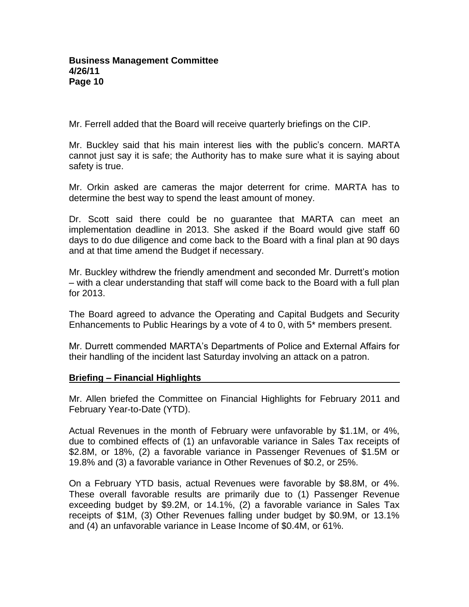Mr. Ferrell added that the Board will receive quarterly briefings on the CIP.

Mr. Buckley said that his main interest lies with the public's concern. MARTA cannot just say it is safe; the Authority has to make sure what it is saying about safety is true.

Mr. Orkin asked are cameras the major deterrent for crime. MARTA has to determine the best way to spend the least amount of money.

Dr. Scott said there could be no guarantee that MARTA can meet an implementation deadline in 2013. She asked if the Board would give staff 60 days to do due diligence and come back to the Board with a final plan at 90 days and at that time amend the Budget if necessary.

Mr. Buckley withdrew the friendly amendment and seconded Mr. Durrett's motion – with a clear understanding that staff will come back to the Board with a full plan for 2013.

The Board agreed to advance the Operating and Capital Budgets and Security Enhancements to Public Hearings by a vote of 4 to 0, with 5\* members present.

Mr. Durrett commended MARTA's Departments of Police and External Affairs for their handling of the incident last Saturday involving an attack on a patron.

## **Briefing – Financial Highlights**

Mr. Allen briefed the Committee on Financial Highlights for February 2011 and February Year-to-Date (YTD).

Actual Revenues in the month of February were unfavorable by \$1.1M, or 4%, due to combined effects of (1) an unfavorable variance in Sales Tax receipts of \$2.8M, or 18%, (2) a favorable variance in Passenger Revenues of \$1.5M or 19.8% and (3) a favorable variance in Other Revenues of \$0.2, or 25%.

On a February YTD basis, actual Revenues were favorable by \$8.8M, or 4%. These overall favorable results are primarily due to (1) Passenger Revenue exceeding budget by \$9.2M, or 14.1%, (2) a favorable variance in Sales Tax receipts of \$1M, (3) Other Revenues falling under budget by \$0.9M, or 13.1% and (4) an unfavorable variance in Lease Income of \$0.4M, or 61%.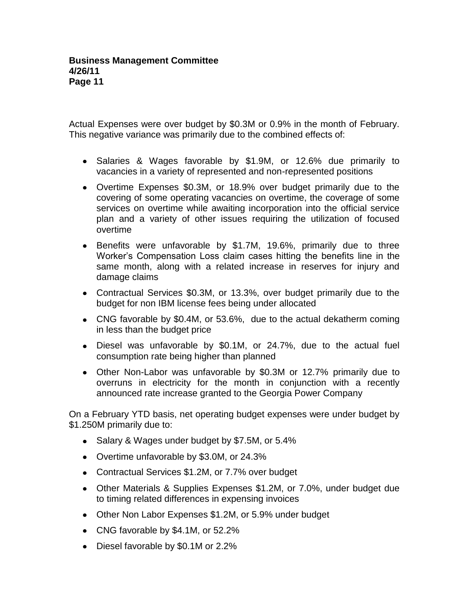Actual Expenses were over budget by \$0.3M or 0.9% in the month of February. This negative variance was primarily due to the combined effects of:

- Salaries & Wages favorable by \$1.9M, or 12.6% due primarily to vacancies in a variety of represented and non-represented positions
- Overtime Expenses \$0.3M, or 18.9% over budget primarily due to the covering of some operating vacancies on overtime, the coverage of some services on overtime while awaiting incorporation into the official service plan and a variety of other issues requiring the utilization of focused overtime
- Benefits were unfavorable by \$1.7M, 19.6%, primarily due to three Worker's Compensation Loss claim cases hitting the benefits line in the same month, along with a related increase in reserves for injury and damage claims
- Contractual Services \$0.3M, or 13.3%, over budget primarily due to the budget for non IBM license fees being under allocated
- CNG favorable by \$0.4M, or 53.6%, due to the actual dekatherm coming in less than the budget price
- Diesel was unfavorable by \$0.1M, or 24.7%, due to the actual fuel consumption rate being higher than planned
- Other Non-Labor was unfavorable by \$0.3M or 12.7% primarily due to overruns in electricity for the month in conjunction with a recently announced rate increase granted to the Georgia Power Company

On a February YTD basis, net operating budget expenses were under budget by \$1.250M primarily due to:

- Salary & Wages under budget by \$7.5M, or 5.4%
- Overtime unfavorable by \$3.0M, or 24.3%
- Contractual Services \$1.2M, or 7.7% over budget
- Other Materials & Supplies Expenses \$1.2M, or 7.0%, under budget due to timing related differences in expensing invoices
- Other Non Labor Expenses \$1.2M, or 5.9% under budget
- CNG favorable by \$4.1M, or 52.2%
- Diesel favorable by \$0.1M or 2.2%